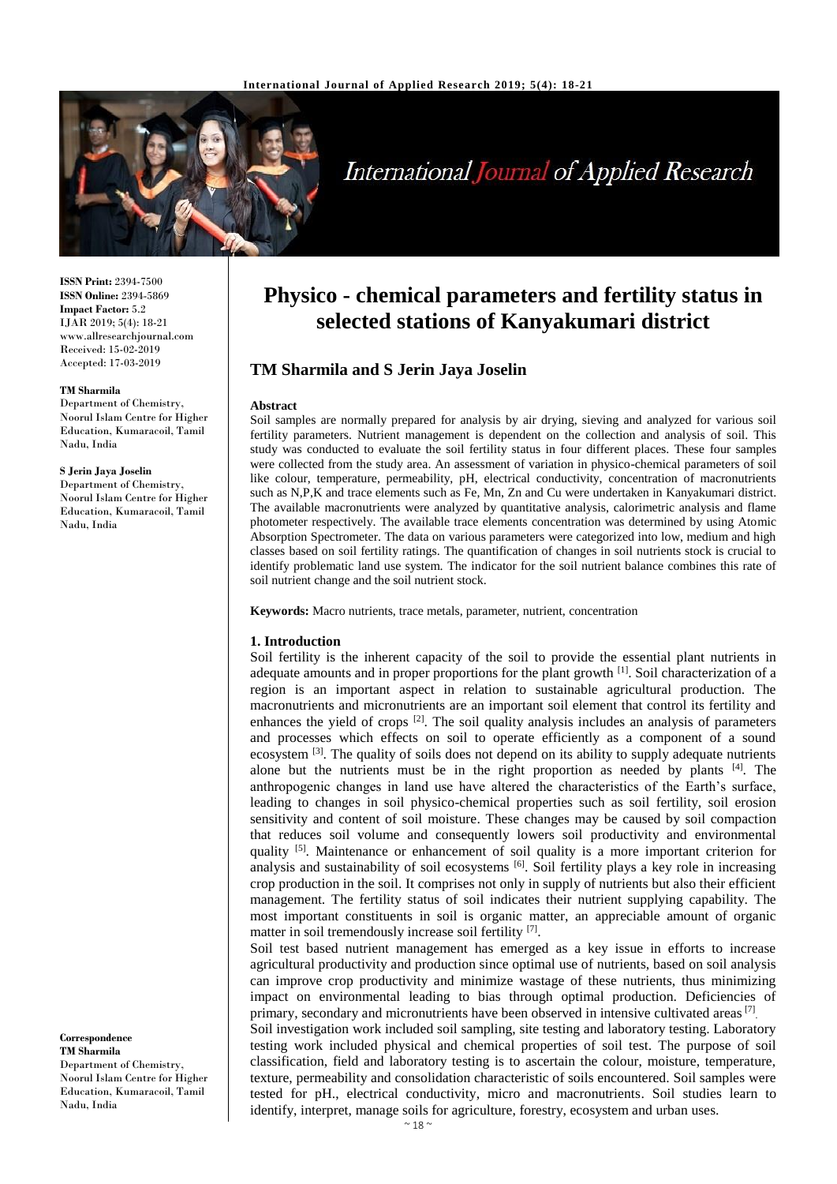

# **International Journal of Applied Research**

**ISSN Print:** 2394-7500 **ISSN Online:** 2394-5869 **Impact Factor:** 5.2 IJAR 2019; 5(4): 18-21 www.allresearchjournal.com Received: 15-02-2019 Accepted: 17-03-2019

#### **TM Sharmila**

Department of Chemistry, Noorul Islam Centre for Higher Education, Kumaracoil, Tamil Nadu, India

#### **S Jerin Jaya Joselin**

Department of Chemistry, Noorul Islam Centre for Higher Education, Kumaracoil, Tamil Nadu, India

**Correspondence TM Sharmila** Department of Chemistry, Noorul Islam Centre for Higher Education, Kumaracoil, Tamil Nadu, India

## **Physico - chemical parameters and fertility status in selected stations of Kanyakumari district**

## **TM Sharmila and S Jerin Jaya Joselin**

#### **Abstract**

Soil samples are normally prepared for analysis by air drying, sieving and analyzed for various soil fertility parameters. Nutrient management is dependent on the collection and analysis of soil. This study was conducted to evaluate the soil fertility status in four different places. These four samples were collected from the study area. An assessment of variation in physico-chemical parameters of soil like colour, temperature, permeability, pH, electrical conductivity, concentration of macronutrients such as N,P,K and trace elements such as Fe, Mn, Zn and Cu were undertaken in Kanyakumari district. The available macronutrients were analyzed by quantitative analysis, calorimetric analysis and flame photometer respectively. The available trace elements concentration was determined by using Atomic Absorption Spectrometer. The data on various parameters were categorized into low, medium and high classes based on soil fertility ratings. The quantification of changes in soil nutrients stock is crucial to identify problematic land use system. The indicator for the soil nutrient balance combines this rate of soil nutrient change and the soil nutrient stock.

**Keywords:** Macro nutrients, trace metals, parameter, nutrient, concentration

#### **1. Introduction**

Soil fertility is the inherent capacity of the soil to provide the essential plant nutrients in adequate amounts and in proper proportions for the plant growth <sup>[1]</sup>. Soil characterization of a region is an important aspect in relation to sustainable agricultural production. The macronutrients and micronutrients are an important soil element that control its fertility and enhances the yield of crops<sup>[2]</sup>. The soil quality analysis includes an analysis of parameters and processes which effects on soil to operate efficiently as a component of a sound ecosystem <sup>[3]</sup>. The quality of soils does not depend on its ability to supply adequate nutrients alone but the nutrients must be in the right proportion as needed by plants [4]. The anthropogenic changes in land use have altered the characteristics of the Earth's surface, leading to changes in soil physico-chemical properties such as soil fertility, soil erosion sensitivity and content of soil moisture. These changes may be caused by soil compaction that reduces soil volume and consequently lowers soil productivity and environmental quality <sup>[5]</sup>. Maintenance or enhancement of soil quality is a more important criterion for analysis and sustainability of soil ecosystems <sup>[6]</sup>. Soil fertility plays a key role in increasing crop production in the soil. It comprises not only in supply of nutrients but also their efficient management. The fertility status of soil indicates their nutrient supplying capability. The most important constituents in soil is organic matter, an appreciable amount of organic matter in soil tremendously increase soil fertility [7].

Soil test based nutrient management has emerged as a key issue in efforts to increase agricultural productivity and production since optimal use of nutrients, based on soil analysis can improve crop productivity and minimize wastage of these nutrients, thus minimizing impact on environmental leading to bias through optimal production. Deficiencies of primary, secondary and micronutrients have been observed in intensive cultivated areas<sup>[7]</sup>.

Soil investigation work included soil sampling, site testing and laboratory testing. Laboratory testing work included physical and chemical properties of soil test. The purpose of soil classification, field and laboratory testing is to ascertain the colour, moisture, temperature, texture, permeability and consolidation characteristic of soils encountered. Soil samples were tested for pH., electrical conductivity, micro and macronutrients. Soil studies learn to identify, interpret, manage soils for agriculture, forestry, ecosystem and urban uses.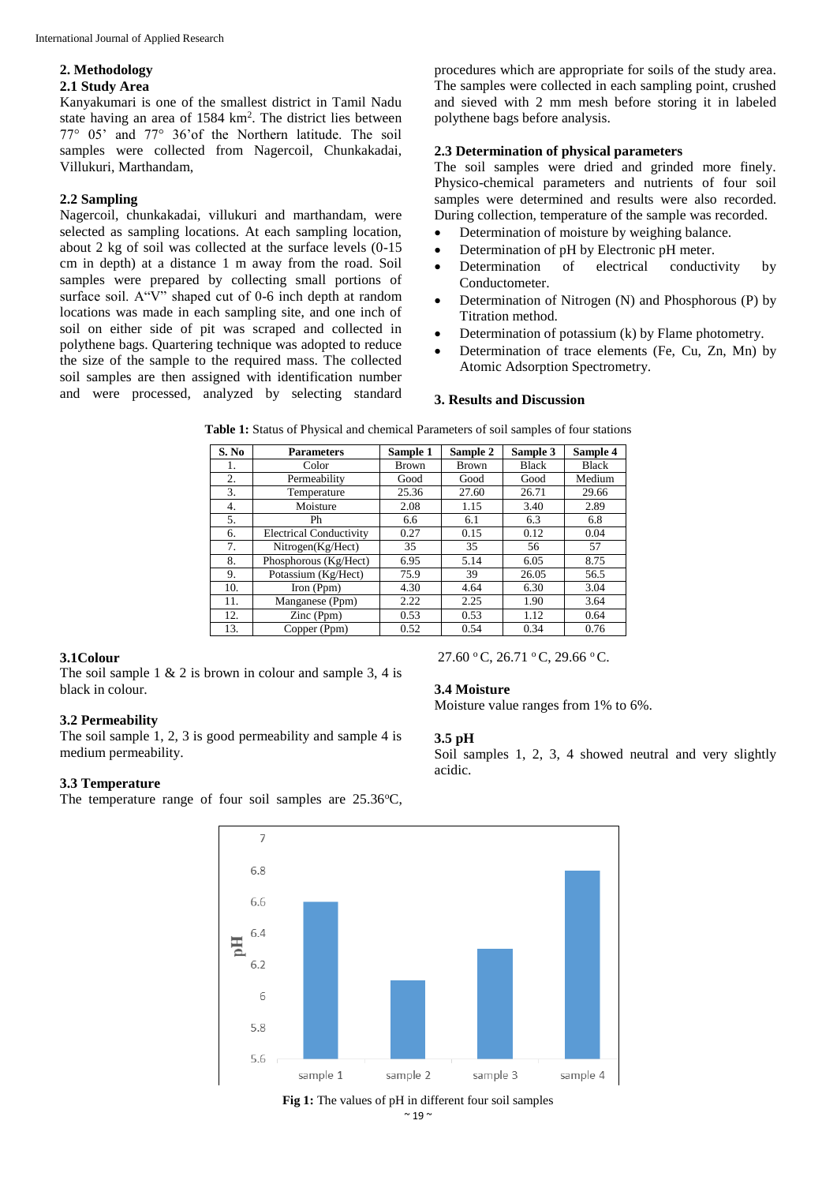#### **2. Methodology 2.1 Study Area**

Kanyakumari is one of the smallest district in Tamil Nadu state having an area of  $1584 \text{ km}^2$ . The district lies between 77° 05' and 77° 36'of the Northern latitude. The soil samples were collected from Nagercoil, Chunkakadai, Villukuri, Marthandam,

### **2.2 Sampling**

Nagercoil, chunkakadai, villukuri and marthandam, were selected as sampling locations. At each sampling location, about 2 kg of soil was collected at the surface levels (0-15 cm in depth) at a distance 1 m away from the road. Soil samples were prepared by collecting small portions of surface soil. A"V" shaped cut of 0-6 inch depth at random locations was made in each sampling site, and one inch of soil on either side of pit was scraped and collected in polythene bags. Quartering technique was adopted to reduce the size of the sample to the required mass. The collected soil samples are then assigned with identification number and were processed, analyzed by selecting standard

procedures which are appropriate for soils of the study area. The samples were collected in each sampling point, crushed and sieved with 2 mm mesh before storing it in labeled polythene bags before analysis.

## **2.3 Determination of physical parameters**

The soil samples were dried and grinded more finely. Physico-chemical parameters and nutrients of four soil samples were determined and results were also recorded. During collection, temperature of the sample was recorded.

- Determination of moisture by weighing balance.
- Determination of pH by Electronic pH meter.
- Determination of electrical conductivity by Conductometer.
- Determination of Nitrogen (N) and Phosphorous (P) by Titration method.
- Determination of potassium (k) by Flame photometry.
- Determination of trace elements (Fe, Cu, Zn, Mn) by Atomic Adsorption Spectrometry.

#### **3. Results and Discussion**

27.60 °C, 26.71 °C, 29.66 °C.

Moisture value ranges from 1% to 6%.

Soil samples 1, 2, 3, 4 showed neutral and very slightly

**3.4 Moisture**

**3.5 pH**

acidic.

| S. No | <b>Parameters</b>              | Sample 1     | Sample 2     | Sample 3     | Sample 4     |
|-------|--------------------------------|--------------|--------------|--------------|--------------|
| 1.    | Color                          | <b>Brown</b> | <b>Brown</b> | <b>Black</b> | <b>Black</b> |
| 2.    | Permeability                   | Good         | Good         | Good         | Medium       |
| 3.    | Temperature                    | 25.36        | 27.60        | 26.71        | 29.66        |
| 4.    | Moisture                       | 2.08         | 1.15         | 3.40         | 2.89         |
| 5.    | Ph                             | 6.6          | 6.1          | 6.3          | 6.8          |
| 6.    | <b>Electrical Conductivity</b> | 0.27         | 0.15         | 0.12         | 0.04         |
| 7.    | Nitrogen(Kg/Hect)              | 35           | 35           | 56           | 57           |
| 8.    | Phosphorous (Kg/Hect)          | 6.95         | 5.14         | 6.05         | 8.75         |
| 9.    | Potassium (Kg/Hect)            | 75.9         | 39           | 26.05        | 56.5         |
| 10.   | Iron (Ppm)                     | 4.30         | 4.64         | 6.30         | 3.04         |
| 11.   | Manganese (Ppm)                | 2.22         | 2.25         | 1.90         | 3.64         |
| 12.   | Zinc (Ppm)                     | 0.53         | 0.53         | 1.12         | 0.64         |
| 13.   | Copper (Ppm)                   | 0.52         | 0.54         | 0.34         | 0.76         |

**Table 1:** Status of Physical and chemical Parameters of soil samples of four stations

## **3.1Colour**

The soil sample  $1 \& 2$  is brown in colour and sample 3, 4 is black in colour.

## **3.2 Permeability**

The soil sample 1, 2, 3 is good permeability and sample 4 is medium permeability.

## **3.3 Temperature**

The temperature range of four soil samples are  $25.36^{\circ}C$ ,



 $~\sim$  19  $~\sim$ **Fig 1:** The values of pH in different four soil samples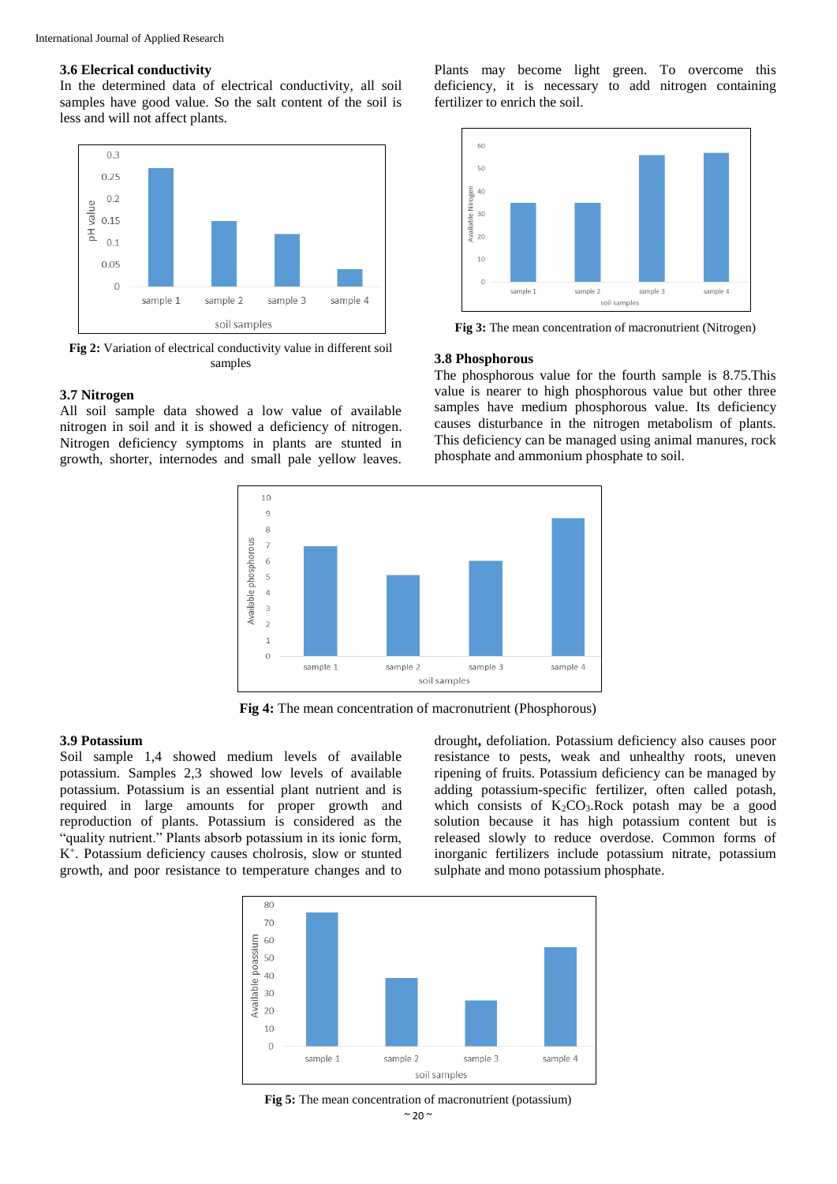#### **3.6 Elecrical conductivity**

In the determined data of electrical conductivity, all soil samples have good value. So the salt content of the soil is less and will not affect plants.



**Fig 2:** Variation of electrical conductivity value in different soil samples

#### **3.7 Nitrogen**

All soil sample data showed a low value of available nitrogen in soil and it is showed a deficiency of nitrogen. Nitrogen deficiency symptoms in plants are stunted in growth, shorter, internodes and small pale yellow leaves.

Plants may become light green. To overcome this deficiency, it is necessary to add nitrogen containing fertilizer to enrich the soil.



**Fig 3:** The mean concentration of macronutrient (Nitrogen)

#### **3.8 Phosphorous**

The phosphorous value for the fourth sample is 8.75.This value is nearer to high phosphorous value but other three samples have medium phosphorous value. Its deficiency causes disturbance in the nitrogen metabolism of plants. This deficiency can be managed using animal manures, rock phosphate and ammonium phosphate to soil.



**Fig 4:** The mean concentration of macronutrient (Phosphorous)

#### **3.9 Potassium**

Soil sample 1,4 showed medium levels of available potassium. Samples 2,3 showed low levels of available potassium. Potassium is an essential plant nutrient and is required in large amounts for proper growth and reproduction of plants. Potassium is considered as the "quality nutrient." Plants absorb potassium in its ionic form, K<sup>+</sup> . Potassium deficiency causes cholrosis, slow or stunted growth, and poor resistance to temperature changes and to

drought**,** defoliation. Potassium deficiency also causes poor resistance to pests, weak and unhealthy roots, uneven ripening of fruits. Potassium deficiency can be managed by adding potassium-specific fertilizer, often called potash, which consists of  $K_2CO_3$ . Rock potash may be a good solution because it has high potassium content but is released slowly to reduce overdose. Common forms of inorganic fertilizers include potassium nitrate, potassium sulphate and mono potassium phosphate.



 $~10$  ~ **Fig 5:** The mean concentration of macronutrient (potassium)